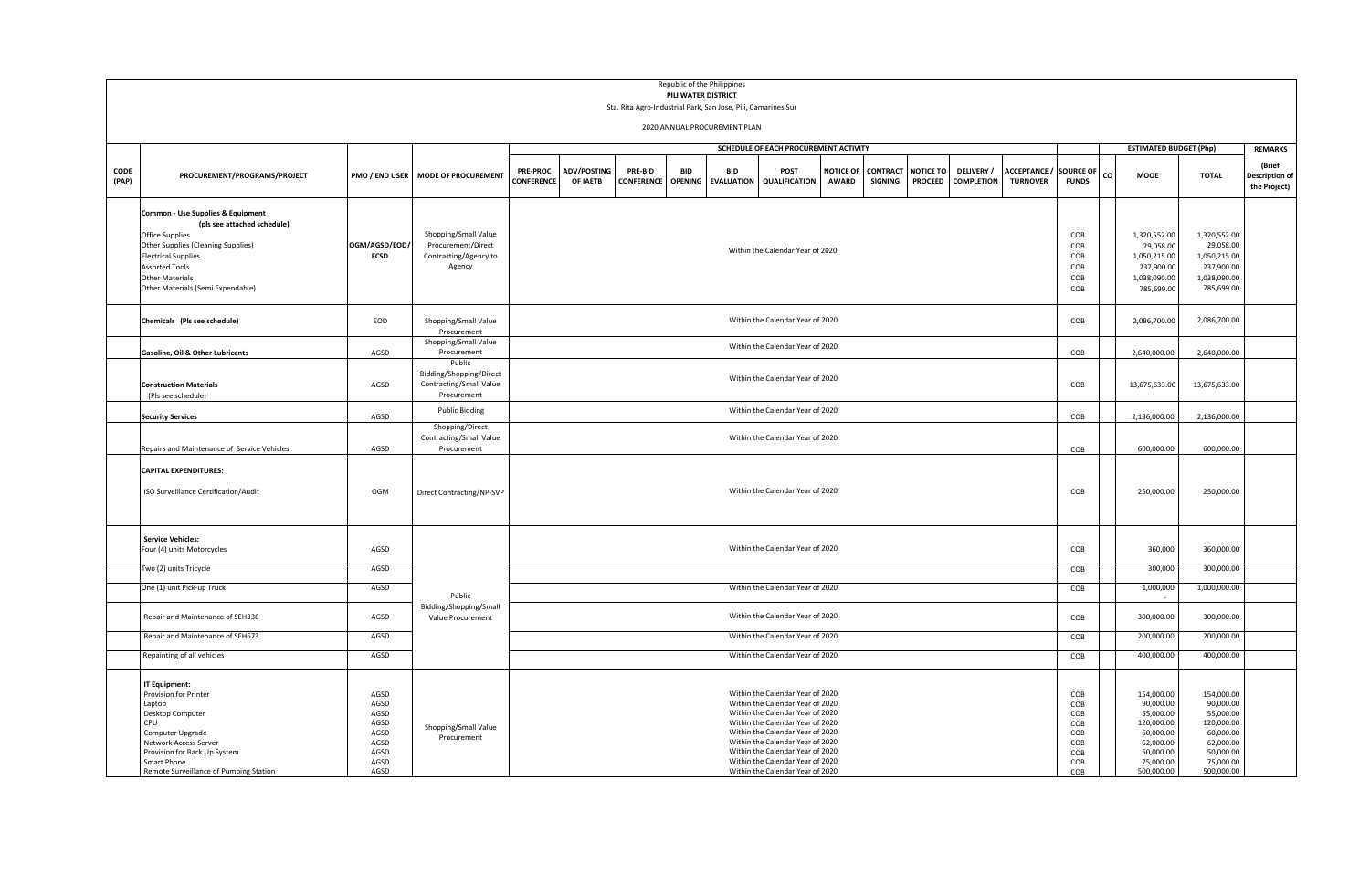|       |                                                                                                                                                            |               |                                             |                                                                                                                                                                                       |                                  |  |  | Republic of the Philippines |                                                                      |  |                                     |                  |                  |                   |                  |    |                               |                            |                       |
|-------|------------------------------------------------------------------------------------------------------------------------------------------------------------|---------------|---------------------------------------------|---------------------------------------------------------------------------------------------------------------------------------------------------------------------------------------|----------------------------------|--|--|-----------------------------|----------------------------------------------------------------------|--|-------------------------------------|------------------|------------------|-------------------|------------------|----|-------------------------------|----------------------------|-----------------------|
|       | PILI WATER DISTRICT<br>Sta. Rita Agro-Industrial Park, San Jose, Pili, Camarines Sur                                                                       |               |                                             |                                                                                                                                                                                       |                                  |  |  |                             |                                                                      |  |                                     |                  |                  |                   |                  |    |                               |                            |                       |
|       |                                                                                                                                                            |               |                                             |                                                                                                                                                                                       |                                  |  |  |                             |                                                                      |  |                                     |                  |                  |                   |                  |    |                               |                            |                       |
|       | 2020 ANNUAL PROCUREMENT PLAN                                                                                                                               |               |                                             |                                                                                                                                                                                       |                                  |  |  |                             |                                                                      |  |                                     |                  |                  |                   |                  |    |                               |                            |                       |
|       |                                                                                                                                                            |               |                                             |                                                                                                                                                                                       |                                  |  |  |                             | SCHEDULE OF EACH PROCUREMENT ACTIVITY                                |  |                                     |                  |                  |                   |                  |    | <b>ESTIMATED BUDGET (Php)</b> |                            | <b>REMARKS</b>        |
|       |                                                                                                                                                            |               |                                             |                                                                                                                                                                                       |                                  |  |  |                             |                                                                      |  |                                     |                  |                  |                   |                  |    |                               |                            | (Brief                |
| CODE  | <b>PRE-PROC</b><br><b>ADV/POSTING</b><br>PRE-BID<br><b>BID</b><br>POST<br><b>RID</b><br>PMO / END USER MODE OF PROCUREMENT<br>PROCUREMENT/PROGRAMS/PROJECT |               |                                             |                                                                                                                                                                                       |                                  |  |  |                             |                                                                      |  | <b>NOTICE OF</b><br><b>CONTRACT</b> | <b>NOTICE TO</b> | <b>DELIVERY/</b> | <b>ACCEPTANCE</b> | <b>SOURCE OF</b> | co | <b>MOOE</b>                   | <b>TOTAL</b>               | <b>Description of</b> |
| (PAP) |                                                                                                                                                            |               |                                             | CONFERENCE<br><b>AWARD</b><br><b>PROCEED</b><br><b>COMPLETION</b><br><b>TURNOVER</b><br>OF IAETB<br><b>CONFERENCE</b><br>OPENING EVALUATION<br><b>QUALIFICATION</b><br><b>SIGNING</b> |                                  |  |  |                             |                                                                      |  |                                     |                  |                  | <b>FUNDS</b>      |                  |    |                               | the Project)               |                       |
|       | Common - Use Supplies & Equipment                                                                                                                          |               |                                             |                                                                                                                                                                                       |                                  |  |  |                             |                                                                      |  |                                     |                  |                  |                   |                  |    |                               |                            |                       |
|       | (pls see attached schedule)                                                                                                                                |               |                                             |                                                                                                                                                                                       |                                  |  |  |                             |                                                                      |  |                                     |                  |                  |                   |                  |    |                               |                            |                       |
|       | Office Supplies                                                                                                                                            |               | Shopping/Small Value                        |                                                                                                                                                                                       |                                  |  |  |                             |                                                                      |  |                                     |                  |                  |                   | COB              |    | 1,320,552.00                  | 1,320,552.00               |                       |
|       | Other Supplies (Cleaning Supplies)                                                                                                                         | OGM/AGSD/EOD/ | Procurement/Direct                          |                                                                                                                                                                                       |                                  |  |  |                             | Within the Calendar Year of 2020                                     |  |                                     |                  |                  |                   | COB              |    | 29,058.00                     | 29,058.00                  |                       |
|       | <b>Electrical Supplies</b>                                                                                                                                 | <b>FCSD</b>   | Contracting/Agency to                       |                                                                                                                                                                                       |                                  |  |  |                             |                                                                      |  |                                     |                  |                  |                   | COB              |    | 1,050,215.00                  | 1,050,215.00               |                       |
|       | <b>Assorted Tools</b>                                                                                                                                      |               | Agency                                      |                                                                                                                                                                                       |                                  |  |  |                             |                                                                      |  |                                     |                  |                  |                   | COB              |    | 237,900.00                    | 237,900.00                 |                       |
|       | Other Materials<br>Other Materials (Semi Expendable)                                                                                                       |               |                                             |                                                                                                                                                                                       |                                  |  |  |                             |                                                                      |  |                                     |                  |                  |                   | COB<br>COB       |    | 1,038,090.00<br>785,699.00    | 1,038,090.00<br>785,699.00 |                       |
|       |                                                                                                                                                            |               |                                             |                                                                                                                                                                                       |                                  |  |  |                             |                                                                      |  |                                     |                  |                  |                   |                  |    |                               |                            |                       |
|       | Chemicals (Pls see schedule)                                                                                                                               | EOD           | Shopping/Small Value                        |                                                                                                                                                                                       |                                  |  |  |                             | COB                                                                  |  | 2,086,700.00                        | 2,086,700.00     |                  |                   |                  |    |                               |                            |                       |
|       |                                                                                                                                                            |               | Procurement                                 |                                                                                                                                                                                       |                                  |  |  |                             |                                                                      |  |                                     |                  |                  |                   |                  |    |                               |                            |                       |
|       | Gasoline, Oil & Other Lubricants                                                                                                                           | AGSD          | Shopping/Small Value<br>Procurement         |                                                                                                                                                                                       |                                  |  |  |                             | COB                                                                  |  | 2,640,000.00                        | 2,640,000.00     |                  |                   |                  |    |                               |                            |                       |
|       |                                                                                                                                                            |               | Public                                      |                                                                                                                                                                                       |                                  |  |  |                             |                                                                      |  |                                     |                  |                  |                   |                  |    |                               |                            |                       |
|       |                                                                                                                                                            |               | Bidding/Shopping/Direct                     |                                                                                                                                                                                       | Within the Calendar Year of 2020 |  |  |                             |                                                                      |  |                                     |                  |                  |                   |                  |    |                               |                            |                       |
|       | <b>Construction Materials</b>                                                                                                                              | AGSD          | Contracting/Small Value                     |                                                                                                                                                                                       |                                  |  |  |                             |                                                                      |  |                                     |                  |                  |                   |                  |    | 13,675,633.00                 | 13,675,633.00              |                       |
|       | (Pls see schedule)                                                                                                                                         |               | Procurement                                 |                                                                                                                                                                                       |                                  |  |  |                             |                                                                      |  |                                     |                  |                  |                   |                  |    |                               |                            |                       |
|       | <b>Security Services</b>                                                                                                                                   | AGSD          | <b>Public Bidding</b>                       |                                                                                                                                                                                       | Within the Calendar Year of 2020 |  |  |                             |                                                                      |  |                                     |                  |                  |                   | COB              |    | 2,136,000.00                  | 2,136,000.00               |                       |
|       |                                                                                                                                                            |               | Shopping/Direct                             |                                                                                                                                                                                       |                                  |  |  |                             |                                                                      |  |                                     |                  |                  |                   |                  |    |                               |                            |                       |
|       |                                                                                                                                                            |               | Contracting/Small Value                     |                                                                                                                                                                                       | Within the Calendar Year of 2020 |  |  |                             |                                                                      |  |                                     |                  |                  |                   |                  |    |                               |                            |                       |
|       | Repairs and Maintenance of Service Vehicles                                                                                                                | AGSD          | Procurement                                 |                                                                                                                                                                                       |                                  |  |  |                             |                                                                      |  |                                     |                  |                  |                   | COB              |    | 600,000.00                    | 600,000.00                 |                       |
|       | <b>CAPITAL EXPENDITURES:</b>                                                                                                                               |               |                                             |                                                                                                                                                                                       |                                  |  |  |                             |                                                                      |  |                                     |                  |                  |                   |                  |    |                               |                            |                       |
|       |                                                                                                                                                            |               |                                             |                                                                                                                                                                                       |                                  |  |  |                             |                                                                      |  |                                     |                  |                  |                   |                  |    |                               |                            |                       |
|       | ISO Surveillance Certification/Audit                                                                                                                       | OGM           | Direct Contracting/NP-SVP                   |                                                                                                                                                                                       |                                  |  |  |                             | Within the Calendar Year of 2020                                     |  |                                     |                  |                  |                   | COB              |    | 250,000.00                    | 250,000.00                 |                       |
|       |                                                                                                                                                            |               |                                             |                                                                                                                                                                                       |                                  |  |  |                             |                                                                      |  |                                     |                  |                  |                   |                  |    |                               |                            |                       |
|       |                                                                                                                                                            |               |                                             |                                                                                                                                                                                       |                                  |  |  |                             |                                                                      |  |                                     |                  |                  |                   |                  |    |                               |                            |                       |
|       | <b>Service Vehicles:</b>                                                                                                                                   |               |                                             |                                                                                                                                                                                       |                                  |  |  |                             |                                                                      |  |                                     |                  |                  |                   |                  |    |                               |                            |                       |
|       | Four (4) units Motorcycles                                                                                                                                 | AGSD          |                                             |                                                                                                                                                                                       |                                  |  |  |                             | Within the Calendar Year of 2020                                     |  |                                     |                  |                  |                   | COB              |    | 360,000                       | 360,000.00                 |                       |
|       | Two (2) units Tricycle                                                                                                                                     | AGSD          |                                             |                                                                                                                                                                                       |                                  |  |  |                             |                                                                      |  |                                     |                  |                  |                   | COB              |    | 300,000                       | 300,000.00                 |                       |
|       |                                                                                                                                                            |               |                                             |                                                                                                                                                                                       |                                  |  |  |                             | Within the Calendar Year of 2020                                     |  |                                     |                  |                  |                   |                  |    |                               |                            |                       |
|       | One (1) unit Pick-up Truck                                                                                                                                 | AGSD          | Public                                      |                                                                                                                                                                                       |                                  |  |  |                             |                                                                      |  |                                     |                  |                  |                   | COB              |    | 1,000,000                     | 1,000,000.00               |                       |
|       | Repair and Maintenance of SEH336                                                                                                                           | AGSD          | Bidding/Shopping/Small<br>Value Procurement |                                                                                                                                                                                       |                                  |  |  |                             | Within the Calendar Year of 2020                                     |  |                                     |                  |                  |                   | COB              |    | 300,000.00                    | 300,000.00                 |                       |
|       | Repair and Maintenance of SEH673                                                                                                                           | AGSD          |                                             |                                                                                                                                                                                       |                                  |  |  |                             | Within the Calendar Year of 2020                                     |  |                                     |                  |                  |                   | COB              |    | 200,000.00                    | 200,000.00                 |                       |
|       |                                                                                                                                                            |               |                                             |                                                                                                                                                                                       |                                  |  |  |                             |                                                                      |  |                                     |                  |                  |                   |                  |    |                               |                            |                       |
|       | Repainting of all vehicles                                                                                                                                 | AGSD          |                                             |                                                                                                                                                                                       | Within the Calendar Year of 2020 |  |  |                             |                                                                      |  |                                     |                  |                  |                   | COB              |    | 400,000.00                    | 400,000.00                 |                       |
|       | IT Equipment:                                                                                                                                              |               |                                             |                                                                                                                                                                                       |                                  |  |  |                             |                                                                      |  |                                     |                  |                  |                   |                  |    |                               |                            |                       |
|       | Provision for Printer                                                                                                                                      | AGSD          |                                             |                                                                                                                                                                                       |                                  |  |  |                             | Within the Calendar Year of 2020                                     |  |                                     |                  |                  |                   | COB              |    | 154,000.00                    | 154,000.00                 |                       |
|       | Laptop                                                                                                                                                     | AGSD          |                                             |                                                                                                                                                                                       |                                  |  |  |                             | Within the Calendar Year of 2020                                     |  |                                     |                  |                  |                   | COB              |    | 90,000.00                     | 90,000.00                  |                       |
|       | Desktop Computer                                                                                                                                           | AGSD          |                                             |                                                                                                                                                                                       |                                  |  |  |                             | Within the Calendar Year of 2020                                     |  |                                     |                  |                  |                   | COB              |    | 55,000.00                     | 55,000.00                  |                       |
|       | CPU                                                                                                                                                        | AGSD<br>AGSD  | Shopping/Small Value                        |                                                                                                                                                                                       |                                  |  |  |                             | Within the Calendar Year of 2020<br>Within the Calendar Year of 2020 |  |                                     |                  |                  |                   | COB              |    | 120,000.00<br>60,000.00       | 120,000.00<br>60,000.00    |                       |
|       | Computer Upgrade<br>Network Access Server                                                                                                                  | AGSD          | Procurement                                 |                                                                                                                                                                                       |                                  |  |  |                             | Within the Calendar Year of 2020                                     |  |                                     |                  |                  |                   | COB<br>COB       |    | 62,000.00                     | 62,000.00                  |                       |
|       | Provision for Back Up System                                                                                                                               | AGSD          |                                             |                                                                                                                                                                                       |                                  |  |  |                             | Within the Calendar Year of 2020                                     |  |                                     |                  |                  |                   | COB              |    | 50,000.00                     | 50,000.00                  |                       |
|       | Smart Phone                                                                                                                                                | AGSD          |                                             |                                                                                                                                                                                       |                                  |  |  |                             | Within the Calendar Year of 2020                                     |  |                                     |                  |                  |                   | COB              |    | 75,000.00                     | 75,000.00                  |                       |
|       | Remote Surveillance of Pumping Station                                                                                                                     | AGSD          |                                             |                                                                                                                                                                                       |                                  |  |  |                             | Within the Calendar Year of 2020                                     |  |                                     |                  |                  |                   | COB              |    | 500.000.00                    | 500.000.00                 |                       |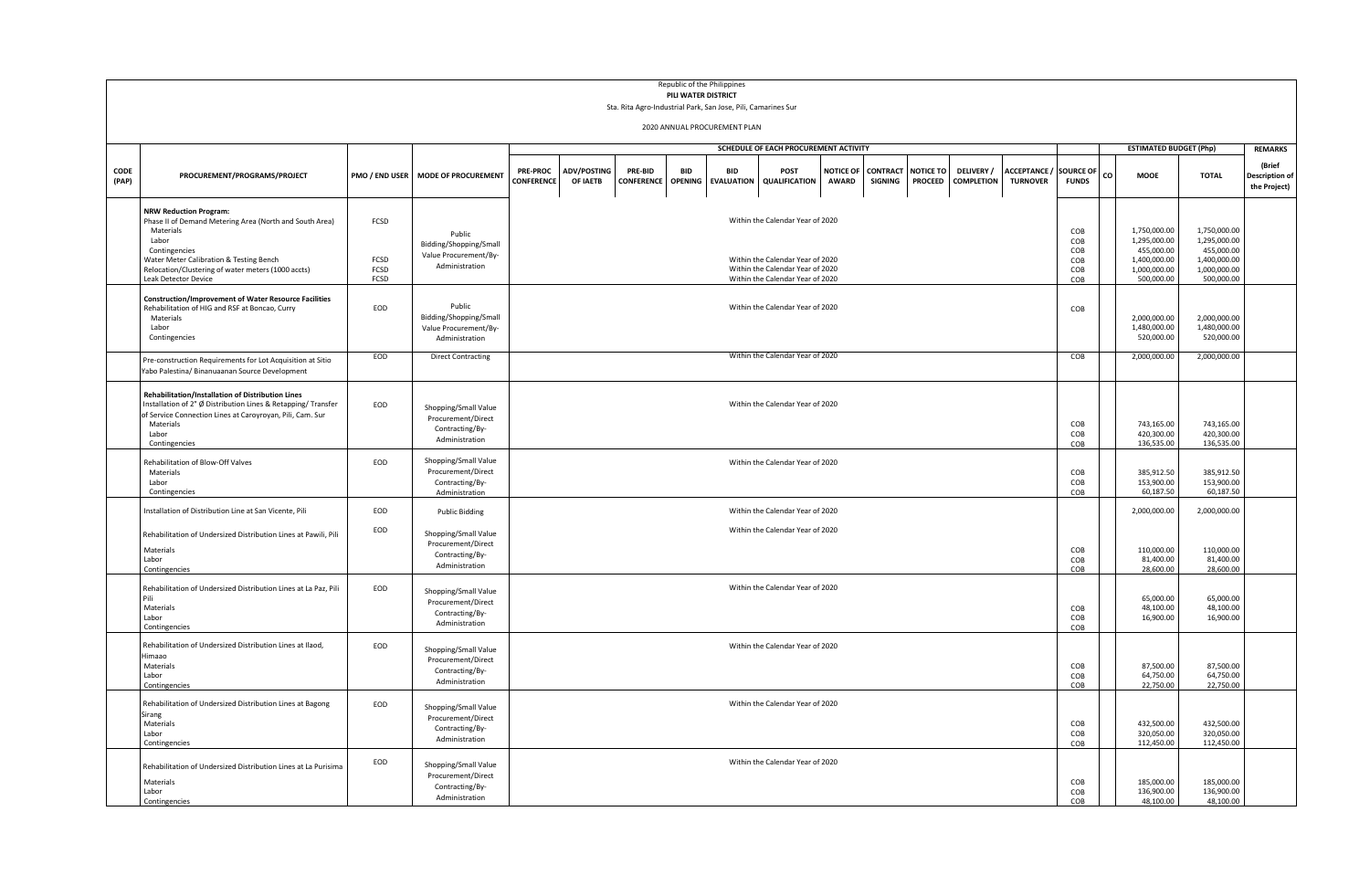|               | Republic of the Philippines<br>PILI WATER DISTRICT                                                                                                                                                                                                       |                              |                                                                                 |                                       |                                                                                                                                                                                                                                                                                                                                                                               |  |  |  |                                  |  |  |  |  |                                       |                                        |                                                                                          |                                                                                          |                                        |  |
|---------------|----------------------------------------------------------------------------------------------------------------------------------------------------------------------------------------------------------------------------------------------------------|------------------------------|---------------------------------------------------------------------------------|---------------------------------------|-------------------------------------------------------------------------------------------------------------------------------------------------------------------------------------------------------------------------------------------------------------------------------------------------------------------------------------------------------------------------------|--|--|--|----------------------------------|--|--|--|--|---------------------------------------|----------------------------------------|------------------------------------------------------------------------------------------|------------------------------------------------------------------------------------------|----------------------------------------|--|
|               | Sta. Rita Agro-Industrial Park, San Jose, Pili, Camarines Sur                                                                                                                                                                                            |                              |                                                                                 |                                       |                                                                                                                                                                                                                                                                                                                                                                               |  |  |  |                                  |  |  |  |  |                                       |                                        |                                                                                          |                                                                                          |                                        |  |
|               | 2020 ANNUAL PROCUREMENT PLAN                                                                                                                                                                                                                             |                              |                                                                                 |                                       |                                                                                                                                                                                                                                                                                                                                                                               |  |  |  |                                  |  |  |  |  |                                       |                                        |                                                                                          |                                                                                          |                                        |  |
|               |                                                                                                                                                                                                                                                          |                              |                                                                                 | SCHEDULE OF EACH PROCUREMENT ACTIVITY |                                                                                                                                                                                                                                                                                                                                                                               |  |  |  |                                  |  |  |  |  |                                       |                                        |                                                                                          | <b>ESTIMATED BUDGET (Php)</b>                                                            | <b>REMARKS</b>                         |  |
| CODE<br>(PAP) | PROCUREMENT/PROGRAMS/PROJECT                                                                                                                                                                                                                             | PMO / END USER               | <b>MODE OF PROCUREMENT</b>                                                      | <b>PRE-PROC</b><br>CONFERENCE         | <b>ADV/POSTING</b><br>PRE-BID<br><b>BID</b><br><b>BID</b><br>POST<br><b>NOTICE OF</b><br><b>CONTRACT NOTICE TO</b><br>DELIVERY /<br><b>ACCEPTANCE / SOURCE OF</b><br>CO.<br><b>OPENING</b><br>OF IAETB<br>CONFERENCE<br><b>QUALIFICATION</b><br><b>AWARD</b><br><b>PROCEED</b><br><b>COMPLETION</b><br><b>TURNOVER</b><br><b>FUNDS</b><br><b>EVALUATION</b><br><b>SIGNING</b> |  |  |  |                                  |  |  |  |  |                                       | <b>MOOE</b>                            | <b>TOTAL</b>                                                                             | (Brief<br><b>Description of</b><br>the Project)                                          |                                        |  |
|               | <b>NRW Reduction Program:</b><br>Phase II of Demand Metering Area (North and South Area)<br>Materials<br>Labor<br>Contingencies<br>Water Meter Calibration & Testing Bench<br>Relocation/Clustering of water meters (1000 accts)<br>Leak Detector Device | FCSD<br>FCSD<br>FCSD<br>FCSD | Public<br>Bidding/Shopping/Small<br>Value Procurement/By-<br>Administration     |                                       | Within the Calendar Year of 2020<br>COB<br>COB<br>COB<br>Within the Calendar Year of 2020<br>COB<br>Within the Calendar Year of 2020<br>COB<br>Within the Calendar Year of 2020<br>COB                                                                                                                                                                                        |  |  |  |                                  |  |  |  |  |                                       |                                        | 1,750,000.00<br>1,295,000.00<br>455,000.00<br>1,400,000.00<br>1,000,000.00<br>500,000.00 | 1,750,000.00<br>1,295,000.00<br>455,000.00<br>1,400,000.00<br>1,000,000.00<br>500,000.00 |                                        |  |
|               | <b>Construction/Improvement of Water Resource Facilities</b><br>Rehabilitation of HIG and RSF at Boncao, Curry<br>Materials<br>Labor<br>Contingencies                                                                                                    | EOD                          | Public<br>Bidding/Shopping/Small<br>Value Procurement/By-<br>Administration     |                                       | Within the Calendar Year of 2020<br>COB                                                                                                                                                                                                                                                                                                                                       |  |  |  |                                  |  |  |  |  |                                       |                                        | 2,000,000.00<br>1,480,000.00<br>520,000.00                                               | 2,000,000.00<br>1,480,000.00<br>520,000.00                                               |                                        |  |
|               | Pre-construction Requirements for Lot Acquisition at Sitio<br>Yabo Palestina/ Binanuaanan Source Development                                                                                                                                             | EOD                          | <b>Direct Contracting</b>                                                       |                                       | Within the Calendar Year of 2020<br>COB                                                                                                                                                                                                                                                                                                                                       |  |  |  |                                  |  |  |  |  |                                       |                                        | 2,000,000.00                                                                             | 2,000,000.00                                                                             |                                        |  |
|               | Rehabilitation/Installation of Distribution Lines<br>Installation of 2" Ø Distribution Lines & Retapping/ Transfer<br>of Service Connection Lines at Caroyroyan, Pili, Cam. Sur<br>Materials<br>Labor<br>Contingencies                                   | EOD                          | Shopping/Small Value<br>Procurement/Direct<br>Contracting/By-<br>Administration |                                       | Within the Calendar Year of 2020<br>COB<br>COB<br>COB                                                                                                                                                                                                                                                                                                                         |  |  |  |                                  |  |  |  |  |                                       | 743,165.00<br>420,300.00<br>136,535.00 | 743,165.00<br>420,300.00<br>136,535.00                                                   |                                                                                          |                                        |  |
|               | Rehabilitation of Blow-Off Valves<br>Materials<br>Labor<br>Contingencies                                                                                                                                                                                 | EOD                          | Shopping/Small Value<br>Procurement/Direct<br>Contracting/By-<br>Administration |                                       | Within the Calendar Year of 2020<br>COB<br>COB<br>COB                                                                                                                                                                                                                                                                                                                         |  |  |  |                                  |  |  |  |  | 385,912.50<br>153,900.00<br>60,187.50 | 385,912.50<br>153,900.00<br>60,187.50  |                                                                                          |                                                                                          |                                        |  |
|               | Installation of Distribution Line at San Vicente, Pili                                                                                                                                                                                                   | EOD                          | <b>Public Bidding</b>                                                           |                                       |                                                                                                                                                                                                                                                                                                                                                                               |  |  |  | Within the Calendar Year of 2020 |  |  |  |  |                                       |                                        |                                                                                          | 2,000,000.00                                                                             | 2,000,000.00                           |  |
|               | Rehabilitation of Undersized Distribution Lines at Pawili, Pili<br>Materials<br>Labor<br>Contingencies                                                                                                                                                   | EOD                          | Shopping/Small Value<br>Procurement/Direct<br>Contracting/By-<br>Administration |                                       | Within the Calendar Year of 2020<br>COB<br>COB<br>COB                                                                                                                                                                                                                                                                                                                         |  |  |  |                                  |  |  |  |  | 110,000.00<br>81,400.00<br>28,600.00  | 110,000.00<br>81,400.00<br>28,600.00   |                                                                                          |                                                                                          |                                        |  |
|               | Rehabilitation of Undersized Distribution Lines at La Paz, Pili<br>Pili<br>Materials<br>Labor<br>Contingencies                                                                                                                                           | EOD                          | Shopping/Small Value<br>Procurement/Direct<br>Contracting/By-<br>Administration |                                       |                                                                                                                                                                                                                                                                                                                                                                               |  |  |  | Within the Calendar Year of 2020 |  |  |  |  |                                       | COB<br>COB<br>COB                      |                                                                                          | 65.000.00<br>48,100.00<br>16,900.00                                                      | 65.000.00<br>48.100.00<br>16,900.00    |  |
|               | Rehabilitation of Undersized Distribution Lines at Ilaod,<br>limaao<br>Materials<br>Labor<br>Contingencies                                                                                                                                               | EOD                          | Shopping/Small Value<br>Procurement/Direct<br>Contracting/By-<br>Administration |                                       | Within the Calendar Year of 2020<br>COB<br>COB<br>COB                                                                                                                                                                                                                                                                                                                         |  |  |  |                                  |  |  |  |  | 87,500.00<br>64,750.00<br>22,750.00   | 87,500.00<br>64,750.00<br>22,750.00    |                                                                                          |                                                                                          |                                        |  |
|               | Rehabilitation of Undersized Distribution Lines at Bagong<br>Sirang<br>Materials<br>Labor<br>Contingencies                                                                                                                                               | EOD                          | Shopping/Small Value<br>Procurement/Direct<br>Contracting/By-<br>Administration |                                       |                                                                                                                                                                                                                                                                                                                                                                               |  |  |  | Within the Calendar Year of 2020 |  |  |  |  |                                       | COB<br>COB<br>COB                      |                                                                                          | 432,500.00<br>320,050.00<br>112,450.00                                                   | 432,500.00<br>320,050.00<br>112,450.00 |  |
|               | Rehabilitation of Undersized Distribution Lines at La Purisima<br>Materials<br>Labor<br>Contingencies                                                                                                                                                    | EOD                          | Shopping/Small Value<br>Procurement/Direct<br>Contracting/By-<br>Administration |                                       |                                                                                                                                                                                                                                                                                                                                                                               |  |  |  | Within the Calendar Year of 2020 |  |  |  |  |                                       | COB<br>COB<br>COB                      |                                                                                          | 185,000.00<br>136,900.00<br>48.100.00                                                    | 185,000.00<br>136,900.00<br>48,100.00  |  |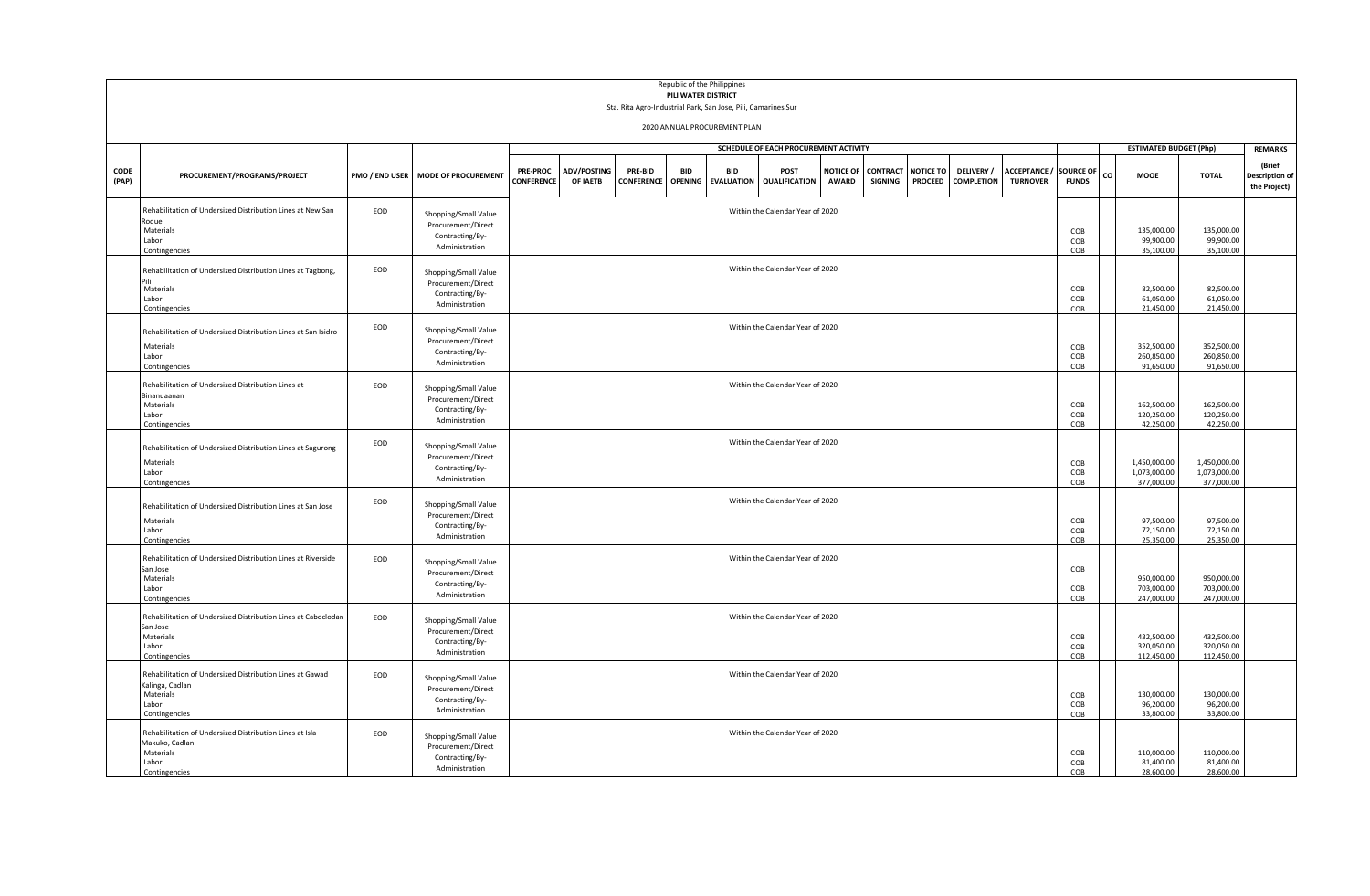|               | Republic of the Philippines<br>PILI WATER DISTRICT<br>Sta. Rita Agro-Industrial Park, San Jose, Pili, Camarines Sur |                |                                                                                 |                                       |                                  |                              |                              |                                 |                                  |                                  |                                   |                                    |                                        |                                      |                           |    |                                            |                                            |                                                 |
|---------------|---------------------------------------------------------------------------------------------------------------------|----------------|---------------------------------------------------------------------------------|---------------------------------------|----------------------------------|------------------------------|------------------------------|---------------------------------|----------------------------------|----------------------------------|-----------------------------------|------------------------------------|----------------------------------------|--------------------------------------|---------------------------|----|--------------------------------------------|--------------------------------------------|-------------------------------------------------|
|               | 2020 ANNUAL PROCUREMENT PLAN                                                                                        |                |                                                                                 |                                       |                                  |                              |                              |                                 |                                  |                                  |                                   |                                    |                                        |                                      |                           |    |                                            |                                            |                                                 |
|               |                                                                                                                     |                |                                                                                 | SCHEDULE OF EACH PROCUREMENT ACTIVITY |                                  |                              |                              |                                 |                                  |                                  |                                   |                                    |                                        |                                      |                           |    | <b>ESTIMATED BUDGET (Php)</b>              | <b>REMARKS</b>                             |                                                 |
| CODE<br>(PAP) | PROCUREMENT/PROGRAMS/PROJECT                                                                                        | PMO / END USER | <b>MODE OF PROCUREMENT</b>                                                      | <b>PRE-PROC</b><br><b>CONFERENCE</b>  | <b>ADV/POSTING</b><br>OF IAETB   | PRE-BID<br><b>CONFERENCE</b> | <b>BID</b><br><b>OPENING</b> | <b>BID</b><br><b>EVALUATION</b> | POST<br><b>QUALIFICATION</b>     | <b>NOTICE OF</b><br><b>AWARD</b> | <b>CONTRACT</b><br><b>SIGNING</b> | <b>NOTICE TO</b><br><b>PROCEED</b> | <b>DELIVERY</b> /<br><b>COMPLETION</b> | <b>ACCEPTANCE</b><br><b>TURNOVER</b> | SOURCE OF<br><b>FUNDS</b> | CO | <b>MOOE</b>                                | <b>TOTAL</b>                               | (Brief<br><b>Description of</b><br>the Project) |
|               | Rehabilitation of Undersized Distribution Lines at New San<br>Roque<br>Materials<br>Labor<br>Contingencies          | EOD            | Shopping/Small Value<br>Procurement/Direct<br>Contracting/By-<br>Administration |                                       | Within the Calendar Year of 2020 |                              |                              |                                 |                                  |                                  |                                   |                                    |                                        |                                      |                           |    | 135,000.00<br>99,900.00<br>35,100.00       | 135,000.00<br>99,900.00<br>35,100.00       |                                                 |
|               | Rehabilitation of Undersized Distribution Lines at Tagbong,<br>Dili<br>Materials<br>Labor<br>Contingencies          | EOD            | Shopping/Small Value<br>Procurement/Direct<br>Contracting/By-<br>Administration |                                       | Within the Calendar Year of 2020 |                              |                              |                                 |                                  |                                  |                                   |                                    |                                        |                                      |                           |    | 82,500.00<br>61,050.00<br>21,450.00        | 82,500.00<br>61,050.00<br>21,450.00        |                                                 |
|               | Rehabilitation of Undersized Distribution Lines at San Isidro<br>Materials<br>Labor<br>Contingencies                | EOD            | Shopping/Small Value<br>Procurement/Direct<br>Contracting/By-<br>Administration |                                       | Within the Calendar Year of 2020 |                              |                              |                                 |                                  |                                  |                                   |                                    |                                        |                                      |                           |    | 352,500.00<br>260,850.00<br>91.650.00      | 352,500.00<br>260,850.00<br>91.650.00      |                                                 |
|               | Rehabilitation of Undersized Distribution Lines at<br>Binanuaanan<br>Materials<br>Labor<br>Contingencies            | EOD            | Shopping/Small Value<br>Procurement/Direct<br>Contracting/By-<br>Administration |                                       | Within the Calendar Year of 2020 |                              |                              |                                 |                                  |                                  |                                   |                                    |                                        |                                      | COB<br>COB<br>COB         |    | 162,500.00<br>120,250.00<br>42,250.00      | 162,500.00<br>120,250.00<br>42,250.00      |                                                 |
|               | Rehabilitation of Undersized Distribution Lines at Sagurong<br>Materials<br>Labor<br>Contingencies                  | EOD            | Shopping/Small Value<br>Procurement/Direct<br>Contracting/By-<br>Administration |                                       | Within the Calendar Year of 2020 |                              |                              |                                 |                                  |                                  |                                   |                                    |                                        |                                      | COB<br>COB<br>COB         |    | 1,450,000.00<br>1,073,000.00<br>377,000.00 | 1,450,000.00<br>1,073,000.00<br>377,000.00 |                                                 |
|               | Rehabilitation of Undersized Distribution Lines at San Jose<br>Materials<br>Labor<br>Contingencies                  | EOD            | Shopping/Small Value<br>Procurement/Direct<br>Contracting/By-<br>Administration |                                       | Within the Calendar Year of 2020 |                              |                              |                                 |                                  |                                  |                                   |                                    |                                        |                                      | COB<br>COB<br>COB         |    | 97,500.00<br>72,150.00<br>25,350.00        | 97,500.00<br>72,150.00<br>25,350.00        |                                                 |
|               | Rehabilitation of Undersized Distribution Lines at Riverside<br>San Jose<br>Materials<br>Labor<br>Contingencies     | EOD            | Shopping/Small Value<br>Procurement/Direct<br>Contracting/By-<br>Administration |                                       | Within the Calendar Year of 2020 |                              |                              |                                 |                                  |                                  |                                   |                                    |                                        |                                      | COB<br>COB<br>COB         |    | 950,000.00<br>703,000.00<br>247.000.00     | 950,000.00<br>703,000.00<br>247.000.00     |                                                 |
|               | Rehabilitation of Undersized Distribution Lines at Caboclodar<br>San Jose<br>Materials<br>Labor<br>Contingencies    | EOD            | Shopping/Small Value<br>Procurement/Direct<br>Contracting/By-<br>Administration |                                       | Within the Calendar Year of 2020 |                              |                              |                                 |                                  |                                  |                                   |                                    |                                        |                                      | COB<br>COB<br>COB         |    | 432,500.00<br>320,050.00<br>112,450.00     | 432,500.00<br>320,050.00<br>112,450.00     |                                                 |
|               | Rehabilitation of Undersized Distribution Lines at Gawad<br>Kalinga, Cadlan<br>Materials<br>Labor<br>Contingencies  | EOD            | Shopping/Small Value<br>Procurement/Direct<br>Contracting/By-<br>Administration |                                       |                                  |                              |                              |                                 | Within the Calendar Year of 2020 |                                  |                                   |                                    |                                        |                                      | COB<br>COB<br>COB         |    | 130,000.00<br>96,200.00<br>33,800.00       | 130,000.00<br>96,200.00<br>33,800.00       |                                                 |
|               | Rehabilitation of Undersized Distribution Lines at Isla<br>Makuko, Cadlan<br>Materials<br>Labor<br>Contingencies    | EOD            | Shopping/Small Value<br>Procurement/Direct<br>Contracting/By-<br>Administration |                                       |                                  |                              |                              |                                 | Within the Calendar Year of 2020 |                                  |                                   |                                    |                                        |                                      | COB<br>COB<br>COB         |    | 110,000.00<br>81,400.00<br>28,600.00       | 110,000.00<br>81,400.00<br>28,600.00       |                                                 |